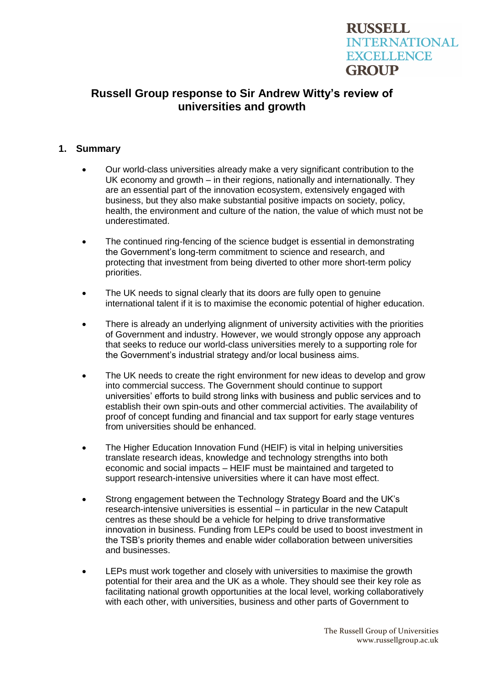# **RUSSELL INTERNATIONAL EXCELLENCE GROUP**

## **Russell Group response to Sir Andrew Witty's review of universities and growth**

### **1. Summary**

- Our world-class universities already make a very significant contribution to the UK economy and growth – in their regions, nationally and internationally. They are an essential part of the innovation ecosystem, extensively engaged with business, but they also make substantial positive impacts on society, policy, health, the environment and culture of the nation, the value of which must not be underestimated.
- The continued ring-fencing of the science budget is essential in demonstrating the Government's long-term commitment to science and research, and protecting that investment from being diverted to other more short-term policy priorities.
- The UK needs to signal clearly that its doors are fully open to genuine international talent if it is to maximise the economic potential of higher education.
- There is already an underlying alignment of university activities with the priorities of Government and industry. However, we would strongly oppose any approach that seeks to reduce our world-class universities merely to a supporting role for the Government's industrial strategy and/or local business aims.
- The UK needs to create the right environment for new ideas to develop and grow into commercial success. The Government should continue to support universities' efforts to build strong links with business and public services and to establish their own spin-outs and other commercial activities. The availability of proof of concept funding and financial and tax support for early stage ventures from universities should be enhanced.
- The Higher Education Innovation Fund (HEIF) is vital in helping universities translate research ideas, knowledge and technology strengths into both economic and social impacts – HEIF must be maintained and targeted to support research-intensive universities where it can have most effect.
- Strong engagement between the Technology Strategy Board and the UK's research-intensive universities is essential – in particular in the new Catapult centres as these should be a vehicle for helping to drive transformative innovation in business. Funding from LEPs could be used to boost investment in the TSB's priority themes and enable wider collaboration between universities and businesses.
- LEPs must work together and closely with universities to maximise the growth potential for their area and the UK as a whole. They should see their key role as facilitating national growth opportunities at the local level, working collaboratively with each other, with universities, business and other parts of Government to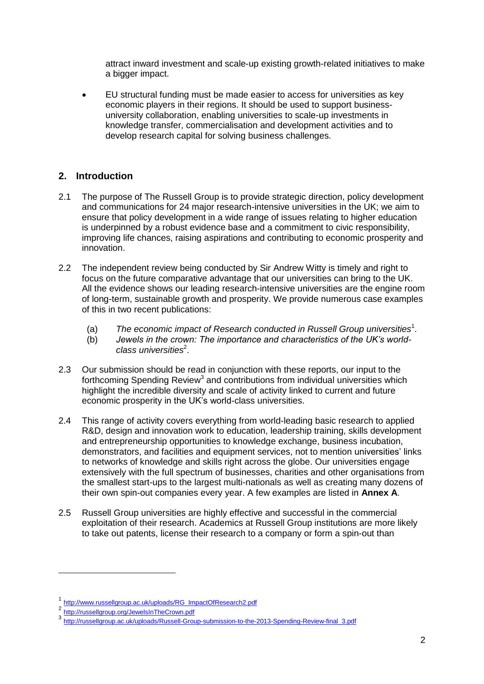attract inward investment and scale-up existing growth-related initiatives to make a bigger impact.

 EU structural funding must be made easier to access for universities as key economic players in their regions. It should be used to support businessuniversity collaboration, enabling universities to scale-up investments in knowledge transfer, commercialisation and development activities and to develop research capital for solving business challenges.

### **2. Introduction**

- 2.1 The purpose of The Russell Group is to provide strategic direction, policy development and communications for 24 major research-intensive universities in the UK; we aim to ensure that policy development in a wide range of issues relating to higher education is underpinned by a robust evidence base and a commitment to civic responsibility, improving life chances, raising aspirations and contributing to economic prosperity and innovation.
- 2.2 The independent review being conducted by Sir Andrew Witty is timely and right to focus on the future comparative advantage that our universities can bring to the UK. All the evidence shows our leading research-intensive universities are the engine room of long-term, sustainable growth and prosperity. We provide numerous case examples of this in two recent publications:
	- (a) *The economic impact of Research conducted in Russell Group universities*<sup>1</sup> .
	- (b) *Jewels in the crown: The importance and characteristics of the UK's world*class universities<sup>2</sup>.
- 2.3 Our submission should be read in conjunction with these reports, our input to the forthcoming Spending Review<sup>3</sup> and contributions from individual universities which highlight the incredible diversity and scale of activity linked to current and future economic prosperity in the UK's world-class universities.
- 2.4 This range of activity covers everything from world-leading basic research to applied R&D, design and innovation work to education, leadership training, skills development and entrepreneurship opportunities to knowledge exchange, business incubation, demonstrators, and facilities and equipment services, not to mention universities' links to networks of knowledge and skills right across the globe. Our universities engage extensively with the full spectrum of businesses, charities and other organisations from the smallest start-ups to the largest multi-nationals as well as creating many dozens of their own spin-out companies every year. A few examples are listed in **Annex A**.
- 2.5 [Russell Group universities are highly effective and successful in the commercial](http://www.russellgroup.ac.uk/impact/)  [exploitation of their research.](http://www.russellgroup.ac.uk/impact/) Academics at Russell Group institutions are more likely to take out patents, license their research to a company or form a spin-out than

-

<sup>1</sup> [http://www.russellgroup.ac.uk/uploads/RG\\_ImpactOfResearch2.pdf](http://www.russellgroup.ac.uk/uploads/RG_ImpactOfResearch2.pdf)

<sup>2</sup> <http://russellgroup.org/JewelsInTheCrown.pdf>

<sup>3</sup> [http://russellgroup.ac.uk/uploads/Russell-Group-submission-to-the-2013-Spending-Review-final\\_3.pdf](http://russellgroup.ac.uk/uploads/Russell-Group-submission-to-the-2013-Spending-Review-final_3.pdf)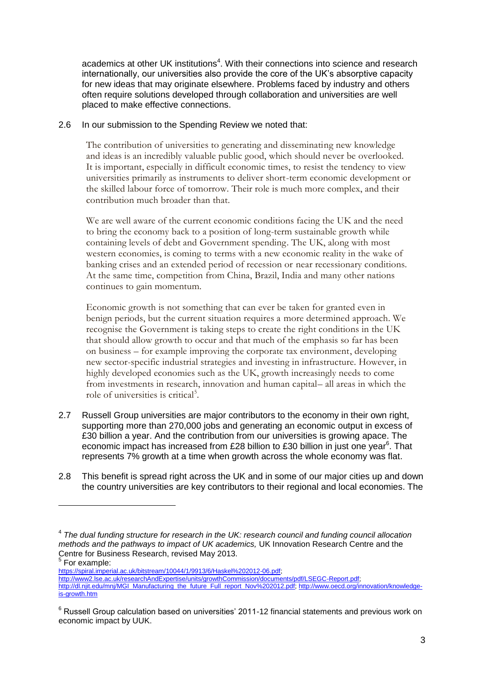academics at other UK institutions<sup>4</sup>. With their connections into science and research internationally, our universities also provide the core of the UK's absorptive capacity for new ideas that may originate elsewhere. Problems faced by industry and others often require solutions developed through collaboration and universities are well placed to make effective connections.

### 2.6 In our submission to the Spending Review we noted that:

The contribution of universities to generating and disseminating new knowledge and ideas is an incredibly valuable public good, which should never be overlooked. It is important, especially in difficult economic times, to resist the tendency to view universities primarily as instruments to deliver short-term economic development or the skilled labour force of tomorrow. Their role is much more complex, and their contribution much broader than that.

We are well aware of the current economic conditions facing the UK and the need to bring the economy back to a position of long-term sustainable growth while containing levels of debt and Government spending. The UK, along with most western economies, is coming to terms with a new economic reality in the wake of banking crises and an extended period of recession or near recessionary conditions. At the same time, competition from China, Brazil, India and many other nations continues to gain momentum.

Economic growth is not something that can ever be taken for granted even in benign periods, but the current situation requires a more determined approach. We recognise the Government is taking steps to create the right conditions in the UK that should allow growth to occur and that much of the emphasis so far has been on business – for example improving the corporate tax environment, developing new sector-specific industrial strategies and investing in infrastructure. However, in highly developed economies such as the UK, growth increasingly needs to come from investments in research, innovation and human capital– all areas in which the role of universities is critical<sup>5</sup>.

- 2.7 Russell Group universities are major contributors to the economy in their own right, supporting more than 270,000 jobs and generating an economic output in excess of £30 billion a year. And the contribution from our universities is growing apace. The economic impact has increased from £28 billion to £30 billion in just one year $^6$ . That represents 7% growth at a time when growth across the whole economy was flat.
- 2.8 This benefit is spread right across the UK and in some of our major cities up and down the country universities are key contributors to their regional and local economies. The

For example:

-

[https://spiral.imperial.ac.uk/bitstream/10044/1/9913/6/Haskel%202012-06.pdf;](https://spiral.imperial.ac.uk/bitstream/10044/1/9913/6/Haskel%202012-06.pdf)

[http://www2.lse.ac.uk/researchAndExpertise/units/growthCommission/documents/pdf/LSEGC-Report.pdf;](http://www2.lse.ac.uk/researchAndExpertise/units/growthCommission/documents/pdf/LSEGC-Report.pdf)

http://dl.niit.edu/mni/MGI\_Manufacturing\_the\_future\_Full\_report\_Nov%202012.pdf; [http://www.oecd.org/innovation/knowledge](http://www.oecd.org/innovation/knowledge-is-growth.htm)[is-growth.htm](http://www.oecd.org/innovation/knowledge-is-growth.htm)

<sup>4</sup> *The dual funding structure for research in the UK: research council and funding council allocation methods and the pathways to impact of UK academics,* UK Innovation Research Centre and the Centre for Business Research, revised May 2013.<br><sup>5</sup> Fer avemple:

 $6$  Russell Group calculation based on universities' 2011-12 financial statements and previous work on economic impact by UUK.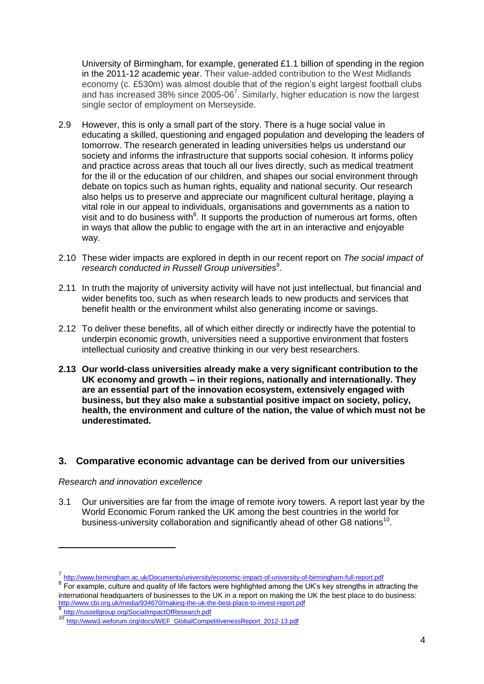University of Birmingham, for example, generated £1.1 billion of spending in the region in the 2011-12 academic year. Their value-added contribution to the West Midlands economy (c. £530m) was almost double that of the region's eight largest football clubs and has increased 38% since 2005-06<sup>7</sup>. Similarly, higher education is now the largest single sector of employment on Merseyside.

- 2.9 However, this is only a small part of the story. There is a huge social value in educating a skilled, questioning and engaged population and developing the leaders of tomorrow. The research generated in leading universities helps us understand our society and informs the infrastructure that supports social cohesion. It informs policy and practice across areas that touch all our lives directly, such as medical treatment for the ill or the education of our children, and shapes our social environment through debate on topics such as human rights, equality and national security. Our research also helps us to preserve and appreciate our magnificent cultural heritage, playing a vital role in our appeal to individuals, organisations and governments as a nation to visit and to do business with $8$ . It supports the production of numerous art forms, often in ways that allow the public to engage with the art in an interactive and enjoyable way.
- 2.10 These wider impacts are explored in depth in our recent report on *The social impact of*  research conducted in Russell Group universities<sup>9</sup>.
- 2.11 In truth the majority of university activity will have not just intellectual, but financial and wider benefits too, such as when research leads to new products and services that benefit health or the environment whilst also generating income or savings.
- 2.12 To deliver these benefits, all of which either directly or indirectly have the potential to underpin economic growth, universities need a supportive environment that fosters intellectual curiosity and creative thinking in our very best researchers.
- **2.13 Our world-class universities already make a very significant contribution to the UK economy and growth – in their regions, nationally and internationally. They are an essential part of the innovation ecosystem, extensively engaged with business, but they also make a substantial positive impact on society, policy, health, the environment and culture of the nation, the value of which must not be underestimated.**

### **3. Comparative economic advantage can be derived from our universities**

### *Research and innovation excellence*

-

3.1 Our universities are far from the image of remote ivory towers. A report last year by the World Economic Forum ranked the UK among the best countries in the world for business-university collaboration and significantly ahead of other G8 nations<sup>10</sup>.

9<br><http://russellgroup.org/SocialImpactOfResearch.pdf>

<sup>7</sup> <http://www.birmingham.ac.uk/Documents/university/economic-impact-of-university-of-birmingham-full-report.pdf>

<sup>&</sup>lt;sup>8</sup> For example, culture and quality of life factors were highlighted among the UK's key strengths in attracting the international headquarters of businesses to the UK in a report on making the UK the best place to do business: <http://www.cbi.org.uk/media/934670/making-the-uk-the-best-place-to-invest-report.pdf>

[http://www3.weforum.org/docs/WEF\\_GlobalCompetitivenessReport\\_2012-13.pdf](http://www3.weforum.org/docs/WEF_GlobalCompetitivenessReport_2012-13.pdf)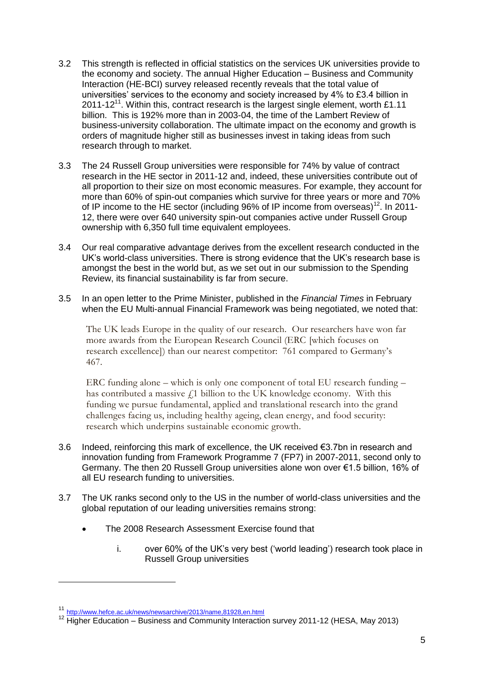- 3.2 This strength is reflected in official statistics on the services UK universities provide to the economy and society. The annual Higher Education – Business and Community Interaction (HE-BCI) survey released recently reveals that the total value of universities' services to the economy and society increased by 4% to £3.4 billion in 2011-12 $^{11}$ . Within this, contract research is the largest single element, worth £1.11 billion. This is 192% more than in 2003-04, the time of the Lambert Review of business-university collaboration. The ultimate impact on the economy and growth is orders of magnitude higher still as businesses invest in taking ideas from such research through to market.
- 3.3 The 24 Russell Group universities were responsible for 74% by value of contract research in the HE sector in 2011-12 and, indeed, these universities contribute out of all proportion to their size on most economic measures. For example, they account for more than 60% of spin-out companies which survive for three years or more and 70% of IP income to the HE sector (including  $96\%$  of IP income from overseas)<sup>12</sup>. In 2011-12, there were over 640 university spin-out companies active under Russell Group ownership with 6,350 full time equivalent employees.
- 3.4 Our real comparative advantage derives from the excellent research conducted in the UK's world-class universities. There is strong evidence that the UK's research base is amongst the best in the world but, as we set out in our submission to the Spending Review, its financial sustainability is far from secure.
- 3.5 In an open letter to the Prime Minister, published in the *Financial Times* in February when the EU Multi-annual Financial Framework was being negotiated, we noted that:

The UK leads Europe in the quality of our research. Our researchers have won far more awards from the European Research Council (ERC [which focuses on research excellence]) than our nearest competitor: 761 compared to Germany's 467.

ERC funding alone – which is only one component of total EU research funding – has contributed a massive  $f_1$  billion to the UK knowledge economy. With this funding we pursue fundamental, applied and translational research into the grand challenges facing us, including healthy ageing, clean energy, and food security: research which underpins sustainable economic growth.

- 3.6 Indeed, reinforcing this mark of excellence, the UK received €3.7bn in research and innovation funding from Framework Programme 7 (FP7) in 2007-2011, second only to Germany. The then 20 Russell Group universities alone won over €1.5 billion, 16% of all EU research funding to universities.
- 3.7 The UK ranks second only to the US in the number of world-class universities and the global reputation of our leading universities remains strong:
	- The 2008 Research Assessment Exercise found that
		- i. over 60% of the UK's very best ('world leading') research took place in Russell Group universities

-

<sup>11</sup> <http://www.hefce.ac.uk/news/newsarchive/2013/name,81928,en.html>

<sup>&</sup>lt;sup>12</sup> Higher Education – Business and Community Interaction survey 2011-12 (HESA, May 2013)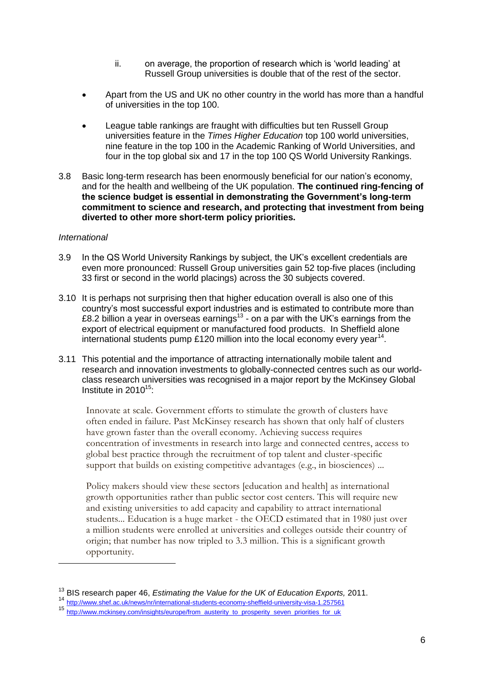- ii. on average, the proportion of research which is 'world leading' at Russell Group universities is double that of the rest of the sector.
- Apart from the US and UK no other country in the world has more than a handful of universities in the top 100.
- League table rankings are fraught with difficulties but ten Russell Group universities feature in the *Times Higher Education* top 100 world universities, nine feature in the top 100 in the Academic Ranking of World Universities, and four in the top global six and 17 in the top 100 QS World University Rankings.
- 3.8 Basic long-term research has been enormously beneficial for our nation's economy, and for the health and wellbeing of the UK population. **The continued ring-fencing of the science budget is essential in demonstrating the Government's long-term commitment to science and research, and protecting that investment from being diverted to other more short-term policy priorities.**

#### *International*

-

- 3.9 In the QS World University Rankings by subject, the UK's excellent credentials are even more pronounced: Russell Group universities gain 52 top-five places (including 33 first or second in the world placings) across the 30 subjects covered.
- 3.10 It is perhaps not surprising then that higher education overall is also one of this country's most successful export industries and is estimated to contribute more than £8.2 billion a year in overseas earnings<sup>13</sup> - on a par with the UK's earnings from the export of electrical equipment or manufactured food products. In Sheffield alone international students pump £120 million into the local economy every year<sup>14</sup>.
- 3.11 This potential and the importance of attracting internationally mobile talent and research and innovation investments to globally-connected centres such as our worldclass research universities was recognised in a major report by the McKinsey Global Institute in  $2010^{15}$ :

Innovate at scale. Government efforts to stimulate the growth of clusters have often ended in failure. Past McKinsey research has shown that only half of clusters have grown faster than the overall economy. Achieving success requires concentration of investments in research into large and connected centres, access to global best practice through the recruitment of top talent and cluster-specific support that builds on existing competitive advantages (e.g., in biosciences) ...

Policy makers should view these sectors [education and health] as international growth opportunities rather than public sector cost centers. This will require new and existing universities to add capacity and capability to attract international students... Education is a huge market - the OECD estimated that in 1980 just over a million students were enrolled at universities and colleges outside their country of origin; that number has now tripled to 3.3 million. This is a significant growth opportunity.

<sup>13</sup> BIS research paper 46, *Estimating the Value for the UK of Education Exports,* 2011.

<sup>14</sup> <http://www.shef.ac.uk/news/nr/international-students-economy-sheffield-university-visa-1.257561>

<sup>15</sup> [http://www.mckinsey.com/insights/europe/from\\_austerity\\_to\\_prosperity\\_seven\\_priorities\\_for\\_uk](http://www.mckinsey.com/insights/europe/from_austerity_to_prosperity_seven_priorities_for_uk)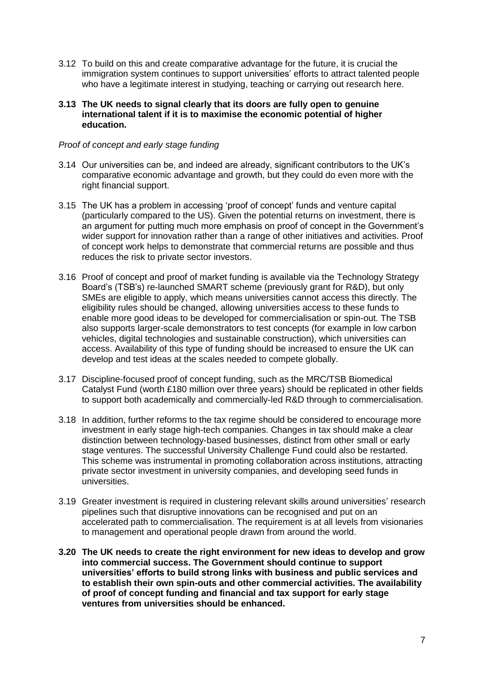- 3.12 To build on this and create comparative advantage for the future, it is crucial the immigration system continues to support universities' efforts to attract talented people who have a legitimate interest in studying, teaching or carrying out research here.
- **3.13 The UK needs to signal clearly that its doors are fully open to genuine international talent if it is to maximise the economic potential of higher education.**

#### *Proof of concept and early stage funding*

- 3.14 Our universities can be, and indeed are already, significant contributors to the UK's comparative economic advantage and growth, but they could do even more with the right financial support.
- 3.15 The UK has a problem in accessing 'proof of concept' funds and venture capital (particularly compared to the US). Given the potential returns on investment, there is an argument for putting much more emphasis on proof of concept in the Government's wider support for innovation rather than a range of other initiatives and activities. Proof of concept work helps to demonstrate that commercial returns are possible and thus reduces the risk to private sector investors.
- 3.16 Proof of concept and proof of market funding is available via the Technology Strategy Board's (TSB's) re-launched SMART scheme (previously grant for R&D), but only SMEs are eligible to apply, which means universities cannot access this directly. The eligibility rules should be changed, allowing universities access to these funds to enable more good ideas to be developed for commercialisation or spin-out. The TSB also supports larger-scale demonstrators to test concepts (for example in low carbon vehicles, digital technologies and sustainable construction), which universities can access. Availability of this type of funding should be increased to ensure the UK can develop and test ideas at the scales needed to compete globally.
- 3.17 Discipline-focused proof of concept funding, such as the MRC/TSB Biomedical Catalyst Fund (worth £180 million over three years) should be replicated in other fields to support both academically and commercially-led R&D through to commercialisation.
- 3.18 In addition, further reforms to the tax regime should be considered to encourage more investment in early stage high-tech companies. Changes in tax should make a clear distinction between technology-based businesses, distinct from other small or early stage ventures. The successful University Challenge Fund could also be restarted. This scheme was instrumental in promoting collaboration across institutions, attracting private sector investment in university companies, and developing seed funds in universities.
- 3.19 Greater investment is required in clustering relevant skills around universities' research pipelines such that disruptive innovations can be recognised and put on an accelerated path to commercialisation. The requirement is at all levels from visionaries to management and operational people drawn from around the world.
- **3.20 The UK needs to create the right environment for new ideas to develop and grow into commercial success. The Government should continue to support universities' efforts to build strong links with business and public services and to establish their own spin-outs and other commercial activities. The availability of proof of concept funding and financial and tax support for early stage ventures from universities should be enhanced.**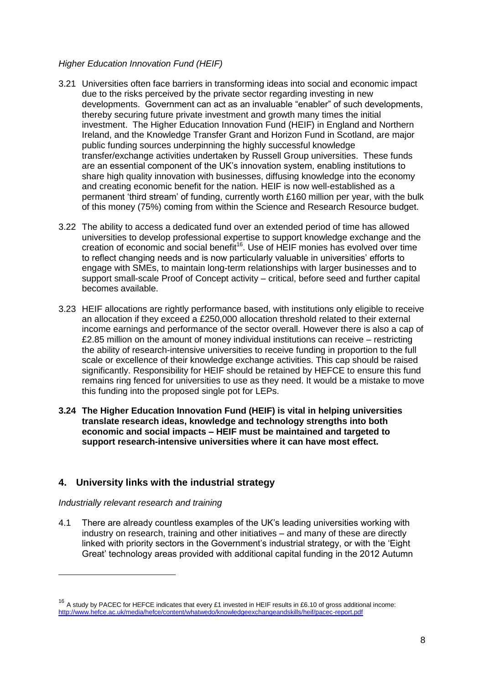### *Higher Education Innovation Fund (HEIF)*

- 3.21 Universities often face barriers in transforming ideas into social and economic impact due to the risks perceived by the private sector regarding investing in new developments. Government can act as an invaluable "enabler" of such developments, thereby securing future private investment and growth many times the initial investment. The Higher Education Innovation Fund (HEIF) in England and Northern Ireland, and the Knowledge Transfer Grant and Horizon Fund in Scotland, are major public funding sources underpinning the highly successful knowledge transfer/exchange activities undertaken by Russell Group universities. These funds are an essential component of the UK's innovation system, enabling institutions to share high quality innovation with businesses, diffusing knowledge into the economy and creating economic benefit for the nation. HEIF is now well-established as a permanent 'third stream' of funding, currently worth £160 million per year, with the bulk of this money (75%) coming from within the Science and Research Resource budget.
- 3.22 The ability to access a dedicated fund over an extended period of time has allowed universities to develop professional expertise to support knowledge exchange and the creation of economic and social benefit<sup>16</sup>. Use of HEIF monies has evolved over time to reflect changing needs and is now particularly valuable in universities' efforts to engage with SMEs, to maintain long-term relationships with larger businesses and to support small-scale Proof of Concept activity – critical, before seed and further capital becomes available.
- 3.23 HEIF allocations are rightly performance based, with institutions only eligible to receive an allocation if they exceed a £250,000 allocation threshold related to their external income earnings and performance of the sector overall. However there is also a cap of £2.85 million on the amount of money individual institutions can receive – restricting the ability of research-intensive universities to receive funding in proportion to the full scale or excellence of their knowledge exchange activities. This cap should be raised significantly. Responsibility for HEIF should be retained by HEFCE to ensure this fund remains ring fenced for universities to use as they need. It would be a mistake to move this funding into the proposed single pot for LEPs.
- **3.24 The Higher Education Innovation Fund (HEIF) is vital in helping universities translate research ideas, knowledge and technology strengths into both economic and social impacts – HEIF must be maintained and targeted to support research-intensive universities where it can have most effect.**

### **4. University links with the industrial strategy**

*Industrially relevant research and training*

-

4.1 There are already countless examples of the UK's leading universities working with industry on research, training and other initiatives – and many of these are directly linked with priority sectors in the Government's industrial strategy, or with the 'Eight Great' technology areas provided with additional capital funding in the 2012 Autumn

 $16$  A study by PACEC for HEFCE indicates that every £1 invested in HEIF results in £6.10 of gross additional income: <http://www.hefce.ac.uk/media/hefce/content/whatwedo/knowledgeexchangeandskills/heif/pacec-report.pdf>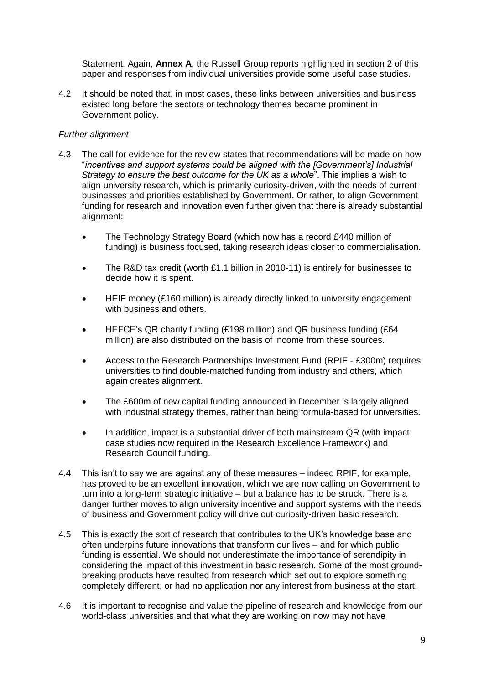Statement. Again, **Annex A**, the Russell Group reports highlighted in section 2 of this paper and responses from individual universities provide some useful case studies.

4.2 It should be noted that, in most cases, these links between universities and business existed long before the sectors or technology themes became prominent in Government policy.

### *Further alignment*

- 4.3 The call for evidence for the review states that recommendations will be made on how "*incentives and support systems could be aligned with the [Government's] Industrial Strategy to ensure the best outcome for the UK as a whole*". This implies a wish to align university research, which is primarily curiosity-driven, with the needs of current businesses and priorities established by Government. Or rather, to align Government funding for research and innovation even further given that there is already substantial alignment:
	- The Technology Strategy Board (which now has a record £440 million of funding) is business focused, taking research ideas closer to commercialisation.
	- The R&D tax credit (worth £1.1 billion in 2010-11) is entirely for businesses to decide how it is spent.
	- HEIF money (£160 million) is already directly linked to university engagement with business and others.
	- HEFCE's QR charity funding (£198 million) and QR business funding (£64 million) are also distributed on the basis of income from these sources.
	- Access to the Research Partnerships Investment Fund (RPIF £300m) requires universities to find double-matched funding from industry and others, which again creates alignment.
	- The £600m of new capital funding announced in December is largely aligned with industrial strategy themes, rather than being formula-based for universities.
	- In addition, impact is a substantial driver of both mainstream QR (with impact case studies now required in the Research Excellence Framework) and Research Council funding.
- 4.4 This isn't to say we are against any of these measures indeed RPIF, for example, has proved to be an excellent innovation, which we are now calling on Government to turn into a long-term strategic initiative – but a balance has to be struck. There is a danger further moves to align university incentive and support systems with the needs of business and Government policy will drive out curiosity-driven basic research.
- 4.5 This is exactly the sort of research that contributes to the UK's knowledge base and often underpins future innovations that transform our lives – and for which public funding is essential. We should not underestimate the importance of serendipity in considering the impact of this investment in basic research. Some of the most groundbreaking products have resulted from research which set out to explore something completely different, or had no application nor any interest from business at the start.
- 4.6 It is important to recognise and value the pipeline of research and knowledge from our world-class universities and that what they are working on now may not have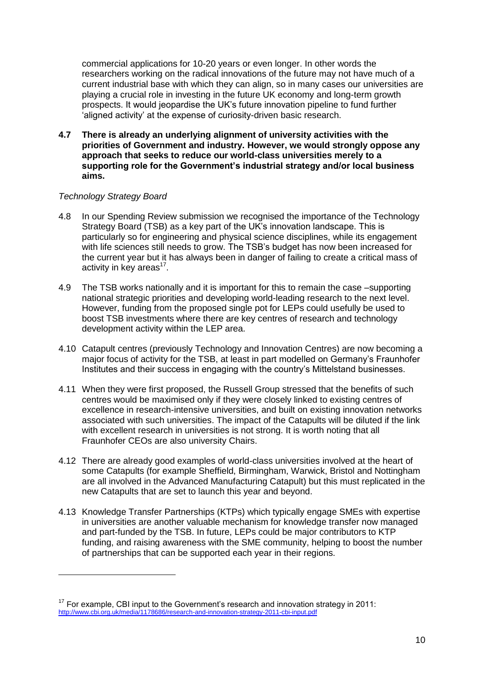commercial applications for 10-20 years or even longer. In other words the researchers working on the radical innovations of the future may not have much of a current industrial base with which they can align, so in many cases our universities are playing a crucial role in investing in the future UK economy and long-term growth prospects. It would jeopardise the UK's future innovation pipeline to fund further 'aligned activity' at the expense of curiosity-driven basic research.

**4.7 There is already an underlying alignment of university activities with the priorities of Government and industry. However, we would strongly oppose any approach that seeks to reduce our world-class universities merely to a supporting role for the Government's industrial strategy and/or local business aims.**

### *Technology Strategy Board*

-

- 4.8 In our Spending Review submission we recognised the importance of the Technology Strategy Board (TSB) as a key part of the UK's innovation landscape. This is particularly so for engineering and physical science disciplines, while its engagement with life sciences still needs to grow. The TSB's budget has now been increased for the current year but it has always been in danger of failing to create a critical mass of activity in key areas<sup>17</sup>.
- 4.9 The TSB works nationally and it is important for this to remain the case –supporting national strategic priorities and developing world-leading research to the next level. However, funding from the proposed single pot for LEPs could usefully be used to boost TSB investments where there are key centres of research and technology development activity within the LEP area.
- 4.10 Catapult centres (previously Technology and Innovation Centres) are now becoming a major focus of activity for the TSB, at least in part modelled on Germany's Fraunhofer Institutes and their success in engaging with the country's Mittelstand businesses.
- 4.11 When they were first proposed, the Russell Group stressed that the benefits of such centres would be maximised only if they were closely linked to existing centres of excellence in research-intensive universities, and built on existing innovation networks associated with such universities. The impact of the Catapults will be diluted if the link with excellent research in universities is not strong. It is worth noting that all Fraunhofer CEOs are also university Chairs.
- 4.12 There are already good examples of world-class universities involved at the heart of some Catapults (for example Sheffield, Birmingham, Warwick, Bristol and Nottingham are all involved in the Advanced Manufacturing Catapult) but this must replicated in the new Catapults that are set to launch this year and beyond.
- 4.13 Knowledge Transfer Partnerships (KTPs) which typically engage SMEs with expertise in universities are another valuable mechanism for knowledge transfer now managed and part-funded by the TSB. In future, LEPs could be major contributors to KTP funding, and raising awareness with the SME community, helping to boost the number of partnerships that can be supported each year in their regions.

 $17$  For example, CBI input to the Government's research and innovation strategy in 2011: <http://www.cbi.org.uk/media/1178686/research-and-innovation-strategy-2011-cbi-input.pdf>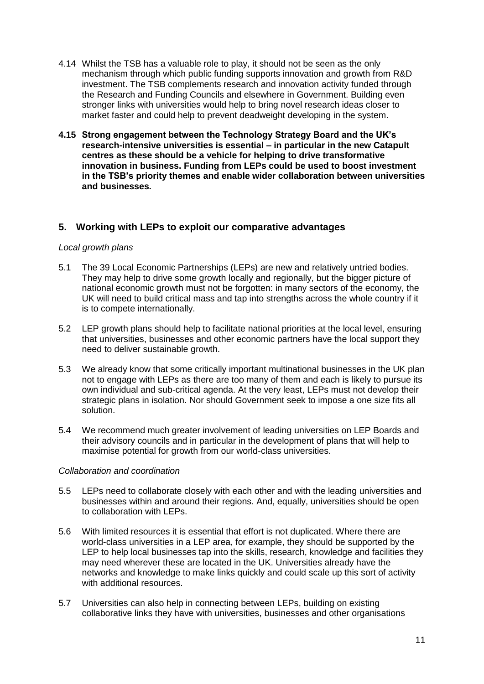- 4.14 Whilst the TSB has a valuable role to play, it should not be seen as the only mechanism through which public funding supports innovation and growth from R&D investment. The TSB complements research and innovation activity funded through the Research and Funding Councils and elsewhere in Government. Building even stronger links with universities would help to bring novel research ideas closer to market faster and could help to prevent deadweight developing in the system.
- **4.15 Strong engagement between the Technology Strategy Board and the UK's research-intensive universities is essential – in particular in the new Catapult centres as these should be a vehicle for helping to drive transformative innovation in business. Funding from LEPs could be used to boost investment in the TSB's priority themes and enable wider collaboration between universities and businesses.**

### **5. Working with LEPs to exploit our comparative advantages**

### *Local growth plans*

- 5.1 The 39 Local Economic Partnerships (LEPs) are new and relatively untried bodies. They may help to drive some growth locally and regionally, but the bigger picture of national economic growth must not be forgotten: in many sectors of the economy, the UK will need to build critical mass and tap into strengths across the whole country if it is to compete internationally.
- 5.2 LEP growth plans should help to facilitate national priorities at the local level, ensuring that universities, businesses and other economic partners have the local support they need to deliver sustainable growth.
- 5.3 We already know that some critically important multinational businesses in the UK plan not to engage with LEPs as there are too many of them and each is likely to pursue its own individual and sub-critical agenda. At the very least, LEPs must not develop their strategic plans in isolation. Nor should Government seek to impose a one size fits all solution.
- 5.4 We recommend much greater involvement of leading universities on LEP Boards and their advisory councils and in particular in the development of plans that will help to maximise potential for growth from our world-class universities.

### *Collaboration and coordination*

- 5.5 LEPs need to collaborate closely with each other and with the leading universities and businesses within and around their regions. And, equally, universities should be open to collaboration with LEPs.
- 5.6 With limited resources it is essential that effort is not duplicated. Where there are world-class universities in a LEP area, for example, they should be supported by the LEP to help local businesses tap into the skills, research, knowledge and facilities they may need wherever these are located in the UK. Universities already have the networks and knowledge to make links quickly and could scale up this sort of activity with additional resources.
- 5.7 Universities can also help in connecting between LEPs, building on existing collaborative links they have with universities, businesses and other organisations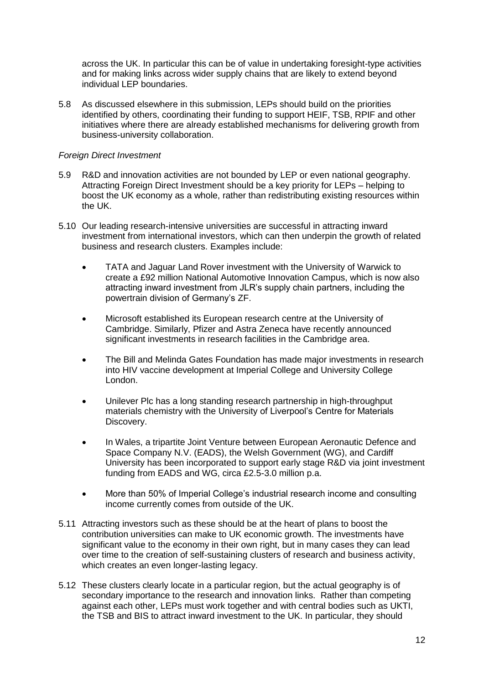across the UK. In particular this can be of value in undertaking foresight-type activities and for making links across wider supply chains that are likely to extend beyond individual LEP boundaries.

5.8 As discussed elsewhere in this submission, LEPs should build on the priorities identified by others, coordinating their funding to support HEIF, TSB, RPIF and other initiatives where there are already established mechanisms for delivering growth from business-university collaboration.

#### *Foreign Direct Investment*

- 5.9 R&D and innovation activities are not bounded by LEP or even national geography. Attracting Foreign Direct Investment should be a key priority for LEPs – helping to boost the UK economy as a whole, rather than redistributing existing resources within the UK.
- 5.10 Our leading research-intensive universities are successful in attracting inward investment from international investors, which can then underpin the growth of related business and research clusters. Examples include:
	- TATA and Jaguar Land Rover investment with the University of Warwick to create a £92 million National Automotive Innovation Campus, which is now also attracting inward investment from JLR's supply chain partners, including the powertrain division of Germany's ZF.
	- Microsoft established its European research centre at the University of Cambridge. Similarly, Pfizer and Astra Zeneca have recently announced significant investments in research facilities in the Cambridge area.
	- The Bill and Melinda Gates Foundation has made major investments in research into HIV vaccine development at Imperial College and University College London.
	- Unilever Plc has a long standing research partnership in high-throughput materials chemistry with the University of Liverpool's Centre for Materials Discovery.
	- In Wales, a tripartite Joint Venture between European Aeronautic Defence and Space Company N.V. (EADS), the Welsh Government (WG), and Cardiff University has been incorporated to support early stage R&D via joint investment funding from EADS and WG, circa £2.5-3.0 million p.a.
	- More than 50% of Imperial College's industrial research income and consulting income currently comes from outside of the UK.
- 5.11 Attracting investors such as these should be at the heart of plans to boost the contribution universities can make to UK economic growth. The investments have significant value to the economy in their own right, but in many cases they can lead over time to the creation of self-sustaining clusters of research and business activity, which creates an even longer-lasting legacy.
- 5.12 These clusters clearly locate in a particular region, but the actual geography is of secondary importance to the research and innovation links. Rather than competing against each other, LEPs must work together and with central bodies such as UKTI, the TSB and BIS to attract inward investment to the UK. In particular, they should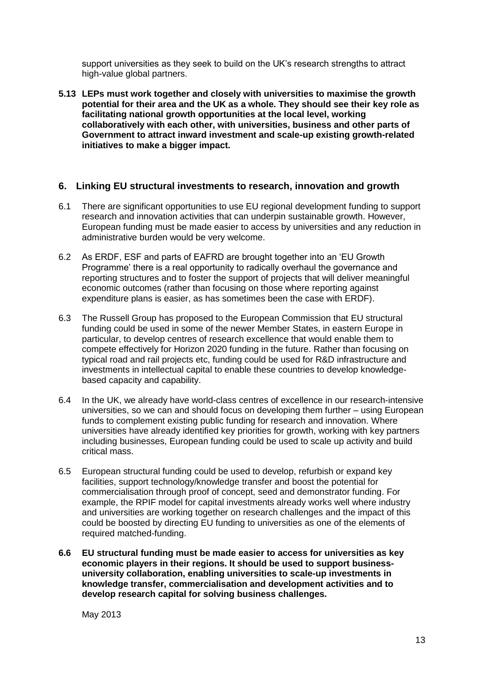support universities as they seek to build on the UK's research strengths to attract high-value global partners.

**5.13 LEPs must work together and closely with universities to maximise the growth potential for their area and the UK as a whole. They should see their key role as facilitating national growth opportunities at the local level, working collaboratively with each other, with universities, business and other parts of Government to attract inward investment and scale-up existing growth-related initiatives to make a bigger impact.**

### **6. Linking EU structural investments to research, innovation and growth**

- 6.1 There are significant opportunities to use EU regional development funding to support research and innovation activities that can underpin sustainable growth. However, European funding must be made easier to access by universities and any reduction in administrative burden would be very welcome.
- 6.2 As ERDF, ESF and parts of EAFRD are brought together into an 'EU Growth Programme' there is a real opportunity to radically overhaul the governance and reporting structures and to foster the support of projects that will deliver meaningful economic outcomes (rather than focusing on those where reporting against expenditure plans is easier, as has sometimes been the case with ERDF).
- 6.3 The Russell Group has proposed to the European Commission that EU structural funding could be used in some of the newer Member States, in eastern Europe in particular, to develop centres of research excellence that would enable them to compete effectively for Horizon 2020 funding in the future. Rather than focusing on typical road and rail projects etc, funding could be used for R&D infrastructure and investments in intellectual capital to enable these countries to develop knowledgebased capacity and capability.
- 6.4 In the UK, we already have world-class centres of excellence in our research-intensive universities, so we can and should focus on developing them further – using European funds to complement existing public funding for research and innovation. Where universities have already identified key priorities for growth, working with key partners including businesses, European funding could be used to scale up activity and build critical mass.
- 6.5 European structural funding could be used to develop, refurbish or expand key facilities, support technology/knowledge transfer and boost the potential for commercialisation through proof of concept, seed and demonstrator funding. For example, the RPIF model for capital investments already works well where industry and universities are working together on research challenges and the impact of this could be boosted by directing EU funding to universities as one of the elements of required matched-funding.
- **6.6 EU structural funding must be made easier to access for universities as key economic players in their regions. It should be used to support businessuniversity collaboration, enabling universities to scale-up investments in knowledge transfer, commercialisation and development activities and to develop research capital for solving business challenges.**

May 2013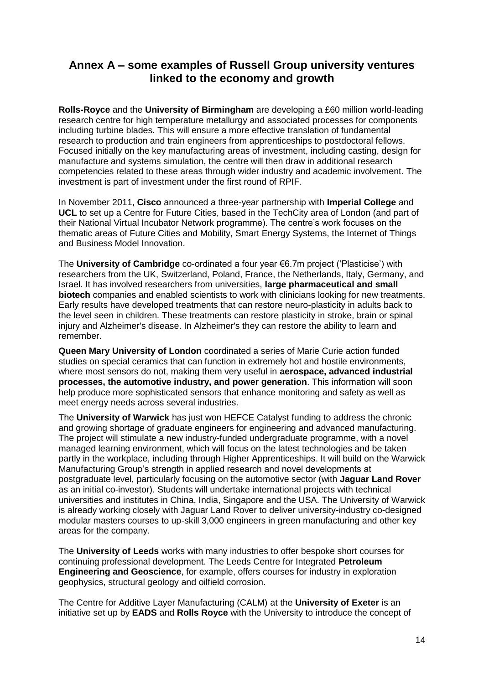## **Annex A – some examples of Russell Group university ventures linked to the economy and growth**

**Rolls-Royce** and the **University of Birmingham** are developing a £60 million world-leading research centre for high temperature metallurgy and associated processes for components including turbine blades. This will ensure a more effective translation of fundamental research to production and train engineers from apprenticeships to postdoctoral fellows. Focused initially on the key manufacturing areas of investment, including casting, design for manufacture and systems simulation, the centre will then draw in additional research competencies related to these areas through wider industry and academic involvement. The investment is part of investment under the first round of RPIF.

In November 2011, **Cisco** announced a three-year partnership with **Imperial College** and **UCL** to set up a Centre for Future Cities, based in the TechCity area of London (and part of their National Virtual Incubator Network programme). The centre's work focuses on the thematic areas of Future Cities and Mobility, Smart Energy Systems, the Internet of Things and Business Model Innovation.

The **University of Cambridge** co-ordinated a four year €6.7m project ('Plasticise') with researchers from the UK, Switzerland, Poland, France, the Netherlands, Italy, Germany, and Israel. It has involved researchers from universities, **large pharmaceutical and small biotech** companies and enabled scientists to work with clinicians looking for new treatments. Early results have developed treatments that can restore neuro-plasticity in adults back to the level seen in children. These treatments can restore plasticity in stroke, brain or spinal injury and Alzheimer's disease. In Alzheimer's they can restore the ability to learn and remember.

**Queen Mary University of London** coordinated a series of Marie Curie action funded studies on special ceramics that can function in extremely hot and hostile environments, where most sensors do not, making them very useful in **aerospace, advanced industrial processes, the automotive industry, and power generation**. This information will soon help produce more sophisticated sensors that enhance monitoring and safety as well as meet energy needs across several industries.

The **University of Warwick** has just won HEFCE Catalyst funding to address the chronic and growing shortage of graduate engineers for engineering and advanced manufacturing. The project will stimulate a new industry-funded undergraduate programme, with a novel managed learning environment, which will focus on the latest technologies and be taken partly in the workplace, including through Higher Apprenticeships. It will build on the Warwick Manufacturing Group's strength in applied research and novel developments at postgraduate level, particularly focusing on the automotive sector (with **Jaguar Land Rover** as an initial co-investor). Students will undertake international projects with technical universities and institutes in China, India, Singapore and the USA. The University of Warwick is already working closely with Jaguar Land Rover to deliver university-industry co-designed modular masters courses to up-skill 3,000 engineers in green manufacturing and other key areas for the company.

The **University of Leeds** works with many industries to offer bespoke short courses for continuing professional development. The Leeds Centre for Integrated **Petroleum Engineering and Geoscience**, for example, offers courses for industry in exploration geophysics, structural geology and oilfield corrosion.

The Centre for Additive Layer Manufacturing (CALM) at the **University of Exeter** is an initiative set up by **EADS** and **Rolls Royce** with the University to introduce the concept of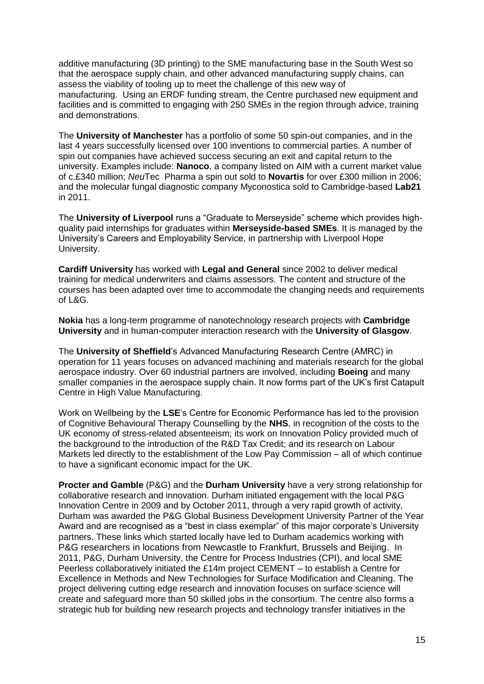additive manufacturing (3D printing) to the SME manufacturing base in the South West so that the aerospace supply chain, and other advanced manufacturing supply chains, can assess the viability of tooling up to meet the challenge of this new way of manufacturing. Using an ERDF funding stream, the Centre purchased new equipment and facilities and is committed to engaging with 250 SMEs in the region through advice, training and demonstrations.

The **University of Manchester** has a portfolio of some 50 spin-out companies, and in the last 4 years successfully licensed over 100 inventions to commercial parties. A number of spin out companies have achieved success securing an exit and capital return to the university. Examples include: **Nanoco**, a company listed on AIM with a current market value of c.£340 million; *Neu*Tec Pharma a spin out sold to **Novartis** for over £300 million in 2006; and the molecular fungal diagnostic company Myconostica sold to Cambridge-based **Lab21** in 2011.

The **University of Liverpool** runs a "Graduate to Merseyside" scheme which provides highquality paid internships for graduates within **Merseyside-based SMEs**. It is managed by the University's Careers and Employability Service, in partnership with Liverpool Hope University.

**Cardiff University** has worked with **Legal and General** since 2002 to deliver medical training for medical underwriters and claims assessors. The content and structure of the courses has been adapted over time to accommodate the changing needs and requirements of L&G.

**Nokia** has a long-term programme of nanotechnology research projects with **Cambridge University** and in human-computer interaction research with the **University of Glasgow**.

The **University of Sheffield**'s Advanced Manufacturing Research Centre (AMRC) in operation for 11 years focuses on advanced machining and materials research for the global aerospace industry. Over 60 industrial partners are involved, including **Boeing** and many smaller companies in the aerospace supply chain. It now forms part of the UK's first Catapult Centre in High Value Manufacturing.

Work on Wellbeing by the **LSE**'s Centre for Economic Performance has led to the provision of Cognitive Behavioural Therapy Counselling by the **NHS**, in recognition of the costs to the UK economy of stress-related absenteeism; its work on Innovation Policy provided much of the background to the introduction of the R&D Tax Credit; and its research on Labour Markets led directly to the establishment of the Low Pay Commission – all of which continue to have a significant economic impact for the UK.

**Procter and Gamble** (P&G) and the **Durham University** have a very strong relationship for collaborative research and innovation. Durham initiated engagement with the local P&G Innovation Centre in 2009 and by October 2011, through a very rapid growth of activity, Durham was awarded the P&G Global Business Development University Partner of the Year Award and are recognised as a "best in class exemplar" of this major corporate's University partners. These links which started locally have led to Durham academics working with P&G researchers in locations from Newcastle to Frankfurt, Brussels and Beijing. In 2011, P&G, Durham University, the Centre for Process Industries (CPI), and local SME Peerless collaboratively initiated the £14m project CEMENT – to establish a Centre for Excellence in Methods and New Technologies for Surface Modification and Cleaning. The project delivering cutting edge research and innovation focuses on surface science will create and safeguard more than 50 skilled jobs in the consortium. The centre also forms a strategic hub for building new research projects and technology transfer initiatives in the